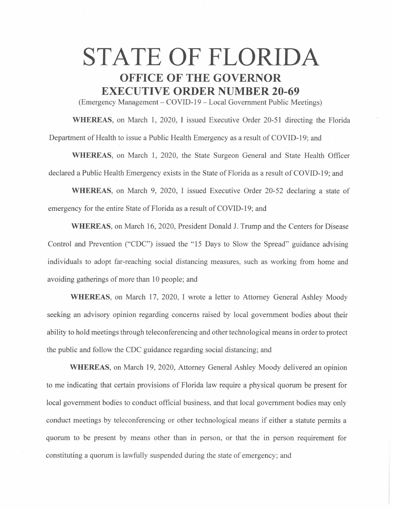## **STATE OF FLORIDA OFFICE OF THE GOVERNOR EXECUTIVE ORDER NUMBER 20-69**

(Emergency Management- COVID-19 - Local Government Public Meetings)

**WHEREAS,** on March 1, 2020, I issued Executive Order 20-51 directing the Florida Department of Health to issue a Public Health Emergency as a result of COVID-19; and

**WHEREAS,** on March 1, 2020, the State Surgeon General and State Health Officer declared a Public Health Emergency exists in the State of Florida as a result of COVID-19; and

**WHEREAS,** on March 9, 2020, I issued Executive Order 20-52 declaring a state of emergency for the entire State of Florida as a result of COVID-19; and

**WHEREAS,** on March 16, 2020, President Donald J. Trump and the Centers for Disease Control and Prevention ("CDC") issued the "15 Days to Slow the Spread" guidance advising individuals to adopt far-reaching social distancing measures, such as working from home and avoiding gatherings of more than 10 people; and

**WHEREAS,** on March 17, 2020, I wrote a letter to Attorney General Ashley Moody seeking an advisory opinion regarding concerns raised by local government bodies about their ability to hold meetings through teleconferencing and other technological means in order to protect the public and follow the CDC guidance regarding social distancing; and

**WHEREAS,** on March 19, 2020, Attorney General Ashley Moody delivered an opinion to me indicating that certain provisions of Florida law require a physical quorum be present for local government bodies to conduct official business, and that local government bodies may only conduct meetings by teleconferencing or other technological means if either a statute permits a quorum to be present by means other than in person, or that the in person requirement for constituting a quorum is lawfully suspended during the state of emergency; and